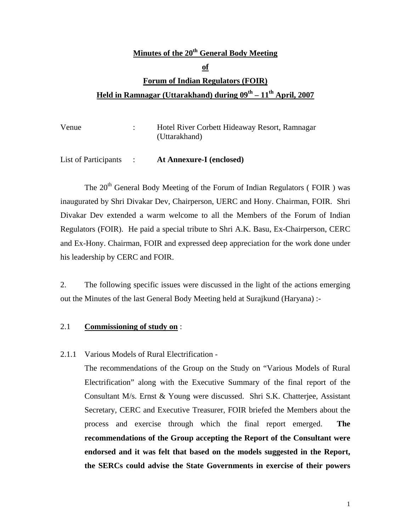# **Minutes of the 20th General Body Meeting of Forum of Indian Regulators (FOIR) Held in Ramnagar (Uttarakhand) during 09th – 11th April, 2007**

| Venue | Hotel River Corbett Hideaway Resort, Ramnagar |
|-------|-----------------------------------------------|
|       | (Uttarakhand)                                 |
|       |                                               |

List of Participants : **At Annexure-I (enclosed)**

The 20<sup>th</sup> General Body Meeting of the Forum of Indian Regulators (FOIR) was inaugurated by Shri Divakar Dev, Chairperson, UERC and Hony. Chairman, FOIR. Shri Divakar Dev extended a warm welcome to all the Members of the Forum of Indian Regulators (FOIR). He paid a special tribute to Shri A.K. Basu, Ex-Chairperson, CERC and Ex-Hony. Chairman, FOIR and expressed deep appreciation for the work done under his leadership by CERC and FOIR.

2. The following specific issues were discussed in the light of the actions emerging out the Minutes of the last General Body Meeting held at Surajkund (Haryana) :-

#### 2.1 **Commissioning of study on** :

2.1.1 Various Models of Rural Electrification -

 The recommendations of the Group on the Study on "Various Models of Rural Electrification" along with the Executive Summary of the final report of the Consultant M/s. Ernst & Young were discussed. Shri S.K. Chatterjee, Assistant Secretary, CERC and Executive Treasurer, FOIR briefed the Members about the process and exercise through which the final report emerged. **The recommendations of the Group accepting the Report of the Consultant were endorsed and it was felt that based on the models suggested in the Report, the SERCs could advise the State Governments in exercise of their powers**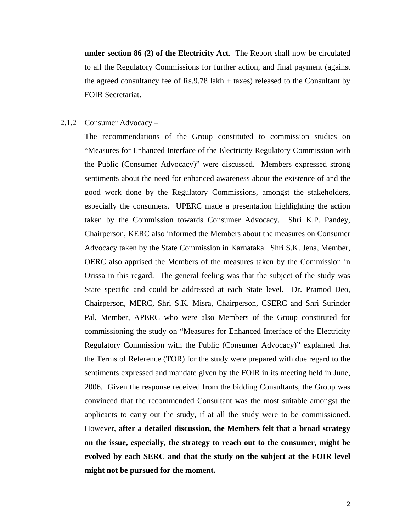**under section 86 (2) of the Electricity Act**. The Report shall now be circulated to all the Regulatory Commissions for further action, and final payment (against the agreed consultancy fee of Rs.9.78 lakh + taxes) released to the Consultant by FOIR Secretariat.

#### 2.1.2 Consumer Advocacy –

 The recommendations of the Group constituted to commission studies on "Measures for Enhanced Interface of the Electricity Regulatory Commission with the Public (Consumer Advocacy)" were discussed. Members expressed strong sentiments about the need for enhanced awareness about the existence of and the good work done by the Regulatory Commissions, amongst the stakeholders, especially the consumers. UPERC made a presentation highlighting the action taken by the Commission towards Consumer Advocacy. Shri K.P. Pandey, Chairperson, KERC also informed the Members about the measures on Consumer Advocacy taken by the State Commission in Karnataka. Shri S.K. Jena, Member, OERC also apprised the Members of the measures taken by the Commission in Orissa in this regard. The general feeling was that the subject of the study was State specific and could be addressed at each State level. Dr. Pramod Deo, Chairperson, MERC, Shri S.K. Misra, Chairperson, CSERC and Shri Surinder Pal, Member, APERC who were also Members of the Group constituted for commissioning the study on "Measures for Enhanced Interface of the Electricity Regulatory Commission with the Public (Consumer Advocacy)" explained that the Terms of Reference (TOR) for the study were prepared with due regard to the sentiments expressed and mandate given by the FOIR in its meeting held in June, 2006. Given the response received from the bidding Consultants, the Group was convinced that the recommended Consultant was the most suitable amongst the applicants to carry out the study, if at all the study were to be commissioned. However, **after a detailed discussion, the Members felt that a broad strategy on the issue, especially, the strategy to reach out to the consumer, might be evolved by each SERC and that the study on the subject at the FOIR level might not be pursued for the moment.**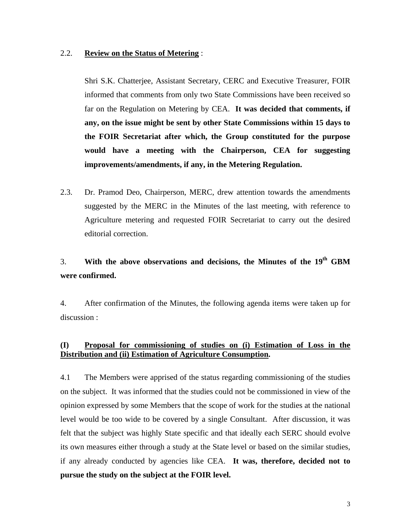#### 2.2. **Review on the Status of Metering** :

 Shri S.K. Chatterjee, Assistant Secretary, CERC and Executive Treasurer, FOIR informed that comments from only two State Commissions have been received so far on the Regulation on Metering by CEA. **It was decided that comments, if any, on the issue might be sent by other State Commissions within 15 days to the FOIR Secretariat after which, the Group constituted for the purpose would have a meeting with the Chairperson, CEA for suggesting improvements/amendments, if any, in the Metering Regulation.** 

2.3. Dr. Pramod Deo, Chairperson, MERC, drew attention towards the amendments suggested by the MERC in the Minutes of the last meeting, with reference to Agriculture metering and requested FOIR Secretariat to carry out the desired editorial correction.

### 3. **With the above observations and decisions, the Minutes of the 19th GBM were confirmed.**

4. After confirmation of the Minutes, the following agenda items were taken up for discussion :

#### **(I) Proposal for commissioning of studies on (i) Estimation of Loss in the Distribution and (ii) Estimation of Agriculture Consumption.**

4.1 The Members were apprised of the status regarding commissioning of the studies on the subject. It was informed that the studies could not be commissioned in view of the opinion expressed by some Members that the scope of work for the studies at the national level would be too wide to be covered by a single Consultant. After discussion, it was felt that the subject was highly State specific and that ideally each SERC should evolve its own measures either through a study at the State level or based on the similar studies, if any already conducted by agencies like CEA. **It was, therefore, decided not to pursue the study on the subject at the FOIR level.**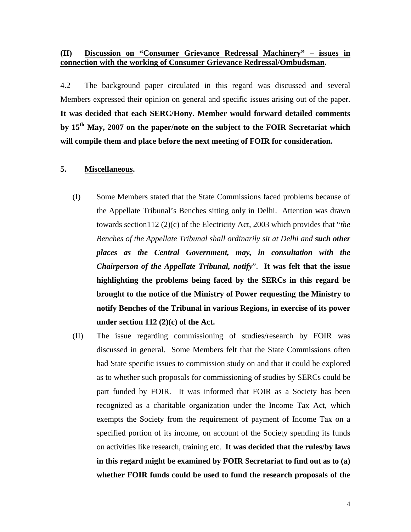#### **(II) Discussion on "Consumer Grievance Redressal Machinery" – issues in connection with the working of Consumer Grievance Redressal/Ombudsman.**

4.2 The background paper circulated in this regard was discussed and several Members expressed their opinion on general and specific issues arising out of the paper. **It was decided that each SERC/Hony. Member would forward detailed comments by 15th May, 2007 on the paper/note on the subject to the FOIR Secretariat which will compile them and place before the next meeting of FOIR for consideration.** 

#### **5. Miscellaneous.**

- (I) Some Members stated that the State Commissions faced problems because of the Appellate Tribunal's Benches sitting only in Delhi. Attention was drawn towards section112 (2)(c) of the Electricity Act, 2003 which provides that "*the Benches of the Appellate Tribunal shall ordinarily sit at Delhi and such other places as the Central Government, may, in consultation with the Chairperson of the Appellate Tribunal, notify*". **It was felt that the issue highlighting the problems being faced by the SERCs in this regard be brought to the notice of the Ministry of Power requesting the Ministry to notify Benches of the Tribunal in various Regions, in exercise of its power under section 112 (2)(c) of the Act.**
- (II) The issue regarding commissioning of studies/research by FOIR was discussed in general. Some Members felt that the State Commissions often had State specific issues to commission study on and that it could be explored as to whether such proposals for commissioning of studies by SERCs could be part funded by FOIR. It was informed that FOIR as a Society has been recognized as a charitable organization under the Income Tax Act, which exempts the Society from the requirement of payment of Income Tax on a specified portion of its income, on account of the Society spending its funds on activities like research, training etc. **It was decided that the rules/by laws in this regard might be examined by FOIR Secretariat to find out as to (a) whether FOIR funds could be used to fund the research proposals of the**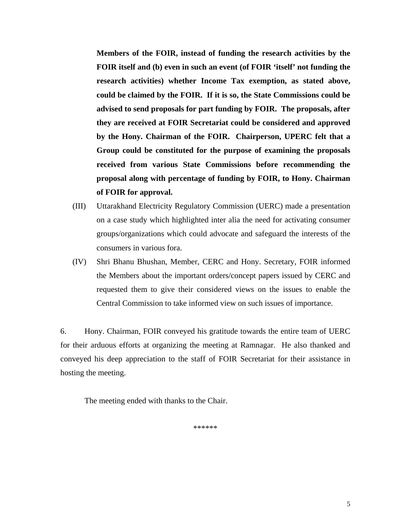**Members of the FOIR, instead of funding the research activities by the FOIR itself and (b) even in such an event (of FOIR 'itself' not funding the research activities) whether Income Tax exemption, as stated above, could be claimed by the FOIR. If it is so, the State Commissions could be advised to send proposals for part funding by FOIR. The proposals, after they are received at FOIR Secretariat could be considered and approved by the Hony. Chairman of the FOIR. Chairperson, UPERC felt that a Group could be constituted for the purpose of examining the proposals received from various State Commissions before recommending the proposal along with percentage of funding by FOIR, to Hony. Chairman of FOIR for approval.** 

- (III) Uttarakhand Electricity Regulatory Commission (UERC) made a presentation on a case study which highlighted inter alia the need for activating consumer groups/organizations which could advocate and safeguard the interests of the consumers in various fora.
- (IV) Shri Bhanu Bhushan, Member, CERC and Hony. Secretary, FOIR informed the Members about the important orders/concept papers issued by CERC and requested them to give their considered views on the issues to enable the Central Commission to take informed view on such issues of importance.

6. Hony. Chairman, FOIR conveyed his gratitude towards the entire team of UERC for their arduous efforts at organizing the meeting at Ramnagar. He also thanked and conveyed his deep appreciation to the staff of FOIR Secretariat for their assistance in hosting the meeting.

The meeting ended with thanks to the Chair.

\*\*\*\*\*\*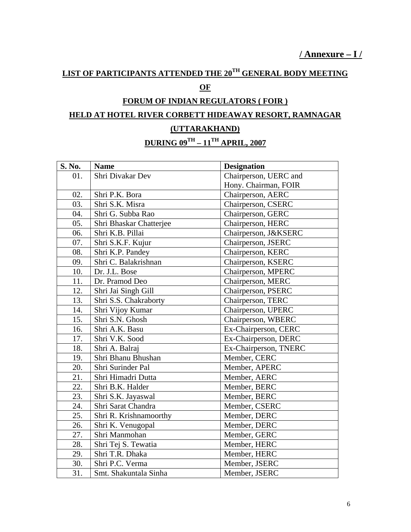# **LIST OF PARTICIPANTS ATTENDED THE 20TH GENERAL BODY MEETING**

### **OF**

### **FORUM OF INDIAN REGULATORS ( FOIR )**

# **HELD AT HOTEL RIVER CORBETT HIDEAWAY RESORT, RAMNAGAR (UTTARAKHAND)**

# **DURING 09TH – 11TH APRIL, 2007**

| S. No. | <b>Name</b>             | <b>Designation</b>    |
|--------|-------------------------|-----------------------|
| 01.    | Shri Divakar Dev        | Chairperson, UERC and |
|        |                         | Hony. Chairman, FOIR  |
| 02.    | Shri P.K. Bora          | Chairperson, AERC     |
| 03.    | Shri S.K. Misra         | Chairperson, CSERC    |
| 04.    | Shri G. Subba Rao       | Chairperson, GERC     |
| 05.    | Shri Bhaskar Chatterjee | Chairperson, HERC     |
| 06.    | Shri K.B. Pillai        | Chairperson, J&KSERC  |
| 07.    | Shri S.K.F. Kujur       | Chairperson, JSERC    |
| 08.    | Shri K.P. Pandey        | Chairperson, KERC     |
| 09.    | Shri C. Balakrishnan    | Chairperson, KSERC    |
| 10.    | Dr. J.L. Bose           | Chairperson, MPERC    |
| 11.    | Dr. Pramod Deo          | Chairperson, MERC     |
| 12.    | Shri Jai Singh Gill     | Chairperson, PSERC    |
| 13.    | Shri S.S. Chakraborty   | Chairperson, TERC     |
| 14.    | Shri Vijoy Kumar        | Chairperson, UPERC    |
| 15.    | Shri S.N. Ghosh         | Chairperson, WBERC    |
| 16.    | Shri A.K. Basu          | Ex-Chairperson, CERC  |
| 17.    | Shri V.K. Sood          | Ex-Chairperson, DERC  |
| 18.    | Shri A. Balraj          | Ex-Chairperson, TNERC |
| 19.    | Shri Bhanu Bhushan      | Member, CERC          |
| 20.    | Shri Surinder Pal       | Member, APERC         |
| 21.    | Shri Himadri Dutta      | Member, AERC          |
| 22.    | Shri B.K. Halder        | Member, BERC          |
| 23.    | Shri S.K. Jayaswal      | Member, BERC          |
| 24.    | Shri Sarat Chandra      | Member, CSERC         |
| 25.    | Shri R. Krishnamoorthy  | Member, DERC          |
| 26.    | Shri K. Venugopal       | Member, DERC          |
| 27.    | Shri Manmohan           | Member, GERC          |
| 28.    | Shri Tej S. Tewatia     | Member, HERC          |
| 29.    | Shri T.R. Dhaka         | Member, HERC          |
| 30.    | Shri P.C. Verma         | Member, JSERC         |
| 31.    | Smt. Shakuntala Sinha   | Member, JSERC         |